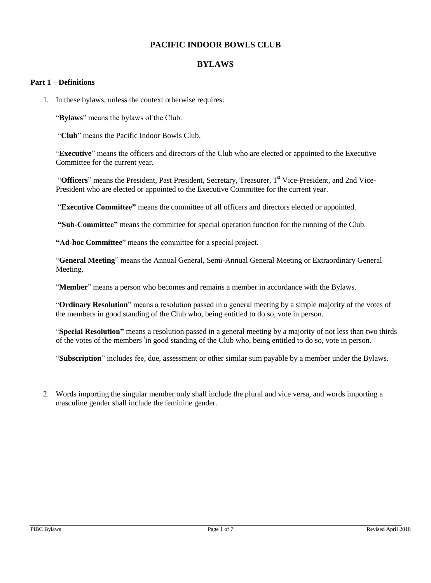# **PACIFIC INDOOR BOWLS CLUB**

## **BYLAWS**

#### **Part 1 – Definitions**

1. In these bylaws, unless the context otherwise requires:

"**Bylaws**" means the bylaws of the Club.

"**Club**" means the Pacific Indoor Bowls Club.

"**Executive**" means the officers and directors of the Club who are elected or appointed to the Executive Committee for the current year.

"**Officers**" means the President, Past President, Secretary, Treasurer, 1<sup>st</sup> Vice-President, and 2nd Vice-President who are elected or appointed to the Executive Committee for the current year.

"**Executive Committee"** means the committee of all officers and directors elected or appointed.

**"Sub-Committee"** means the committee for special operation function for the running of the Club.

**"Ad-hoc Committee**" means the committee for a special project.

"**General Meeting**" means the Annual General, Semi-Annual General Meeting or Extraordinary General Meeting.

"**Member**" means a person who becomes and remains a member in accordance with the Bylaws.

"**Ordinary Resolution**" means a resolution passed in a general meeting by a simple majority of the votes of the members in good standing of the Club who, being entitled to do so, vote in person.

"**Special Resolution"** means a resolution passed in a general meeting by a majority of not less than two thirds of the votes of the members <sup>i</sup>n good standing of the Club who, being entitled to do so, vote in person.

"**Subscription**" includes fee, due, assessment or other similar sum payable by a member under the Bylaws.

2. Words importing the singular member only shall include the plural and vice versa, and words importing a masculine gender shall include the feminine gender.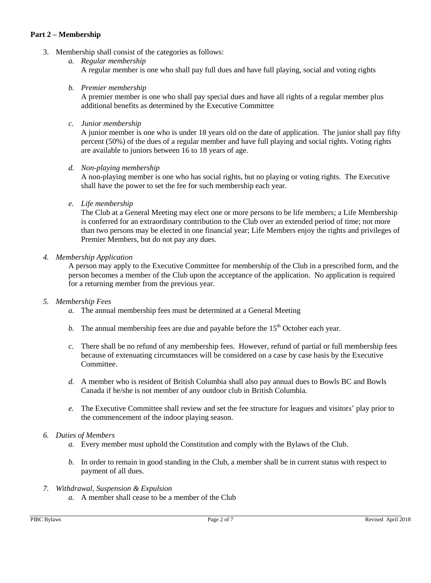## **Part 2 – Membership**

- 3. Membership shall consist of the categories as follows:
	- *a. Regular membership* A regular member is one who shall pay full dues and have full playing, social and voting rights
	- *b. Premier membership*

A premier member is one who shall pay special dues and have all rights of a regular member plus additional benefits as determined by the Executive Committee

*c. Junior membership*

A junior member is one who is under 18 years old on the date of application. The junior shall pay fifty percent (50%) of the dues of a regular member and have full playing and social rights. Voting rights are available to juniors between 16 to 18 years of age.

*d. Non-playing membership*

A non-playing member is one who has social rights, but no playing or voting rights. The Executive shall have the power to set the fee for such membership each year.

*e. Life membership*

The Club at a General Meeting may elect one or more persons to be life members; a Life Membership is conferred for an extraordinary contribution to the Club over an extended period of time; not more than two persons may be elected in one financial year; Life Members enjoy the rights and privileges of Premier Members, but do not pay any dues.

### *4. Membership Application*

A person may apply to the Executive Committee for membership of the Club in a prescribed form, and the person becomes a member of the Club upon the acceptance of the application. No application is required for a returning member from the previous year.

### *5. Membership Fees*

- *a.* The annual membership fees must be determined at a General Meeting
- *b*. The annual membership fees are due and payable before the  $15<sup>th</sup>$  October each year.
- *c.* There shall be no refund of any membership fees. However, refund of partial or full membership fees because of extenuating circumstances will be considered on a case by case basis by the Executive Committee.
- *d.* A member who is resident of British Columbia shall also pay annual dues to Bowls BC and Bowls Canada if he/she is not member of any outdoor club in British Columbia.
- *e.* The Executive Committee shall review and set the fee structure for leagues and visitors' play prior to the commencement of the indoor playing season.

# *6. Duties of Members*

- *a.* Every member must uphold the Constitution and comply with the Bylaws of the Club.
- *b.* In order to remain in good standing in the Club, a member shall be in current status with respect to payment of all dues.
- *7. Withdrawal, Suspension & Expulsion* 
	- *a.* A member shall cease to be a member of the Club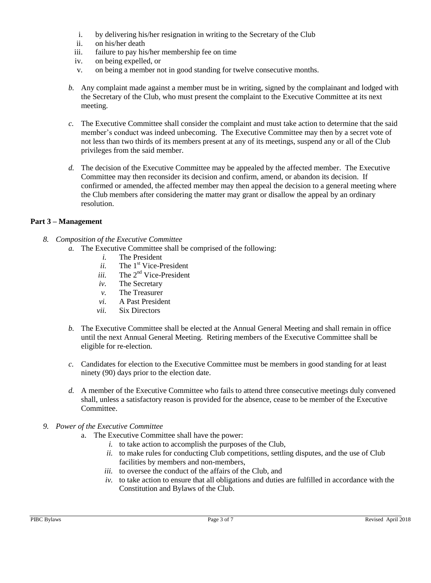- i. by delivering his/her resignation in writing to the Secretary of the Club
- ii. on his/her death
- iii. failure to pay his/her membership fee on time
- iv. on being expelled, or
- v. on being a member not in good standing for twelve consecutive months.
- *b.* Any complaint made against a member must be in writing, signed by the complainant and lodged with the Secretary of the Club, who must present the complaint to the Executive Committee at its next meeting.
- *c.* The Executive Committee shall consider the complaint and must take action to determine that the said member's conduct was indeed unbecoming. The Executive Committee may then by a secret vote of not less than two thirds of its members present at any of its meetings, suspend any or all of the Club privileges from the said member.
- *d.* The decision of the Executive Committee may be appealed by the affected member. The Executive Committee may then reconsider its decision and confirm, amend, or abandon its decision. If confirmed or amended, the affected member may then appeal the decision to a general meeting where the Club members after considering the matter may grant or disallow the appeal by an ordinary resolution.

# **Part 3 – Management**

- *8. Composition of the Executive Committee*
	- *a.* The Executive Committee shall be comprised of the following:
		- *i.* The President
		- *ii.* The 1<sup>st</sup> Vice-President
		- *iii.* The 2<sup>nd</sup> Vice-President
		- *iv.* The Secretary
		- *v.* The Treasurer
		- *vi.* A Past President
		- *vii.* Six Directors
	- *b.* The Executive Committee shall be elected at the Annual General Meeting and shall remain in office until the next Annual General Meeting. Retiring members of the Executive Committee shall be eligible for re-election.
	- *c.* Candidates for election to the Executive Committee must be members in good standing for at least ninety (90) days prior to the election date.
	- *d.* A member of the Executive Committee who fails to attend three consecutive meetings duly convened shall, unless a satisfactory reason is provided for the absence, cease to be member of the Executive Committee.
- *9. Power of the Executive Committee*
	- a. The Executive Committee shall have the power:
		- *i.* to take action to accomplish the purposes of the Club,
		- *ii.* to make rules for conducting Club competitions, settling disputes, and the use of Club facilities by members and non-members,
		- *iii.* to oversee the conduct of the affairs of the Club, and
		- $iv.$  to take action to ensure that all obligations and duties are fulfilled in accordance with the Constitution and Bylaws of the Club.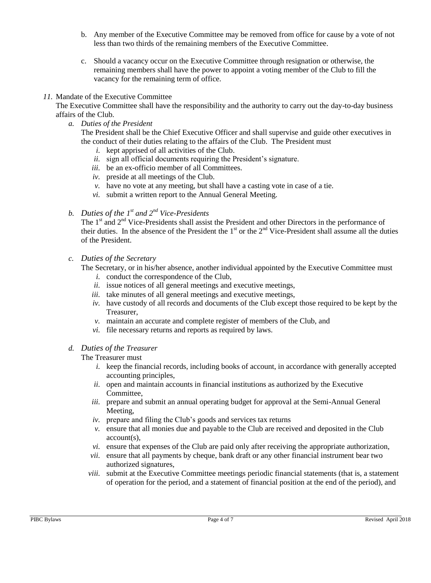- b. Any member of the Executive Committee may be removed from office for cause by a vote of not less than two thirds of the remaining members of the Executive Committee.
- c. Should a vacancy occur on the Executive Committee through resignation or otherwise, the remaining members shall have the power to appoint a voting member of the Club to fill the vacancy for the remaining term of office.

## *11.* Mandate of the Executive Committee

The Executive Committee shall have the responsibility and the authority to carry out the day-to-day business affairs of the Club.

*a. Duties of the President*

The President shall be the Chief Executive Officer and shall supervise and guide other executives in the conduct of their duties relating to the affairs of the Club. The President must

- *i.* kept apprised of all activities of the Club.
- *ii.* sign all official documents requiring the President's signature.
- *iii.* be an ex-officio member of all Committees.
- *iv.* preside at all meetings of the Club.
- *v.* have no vote at any meeting, but shall have a casting vote in case of a tie.
- *vi.* submit a written report to the Annual General Meeting.
- *b. Duties of the 1 st and 2nd Vice-Presidents*

The  $1<sup>st</sup>$  and  $2<sup>nd</sup>$  Vice-Presidents shall assist the President and other Directors in the performance of their duties. In the absence of the President the  $1<sup>st</sup>$  or the  $2<sup>nd</sup>$  Vice-President shall assume all the duties of the President.

### *c. Duties of the Secretary*

The Secretary, or in his/her absence, another individual appointed by the Executive Committee must

- *i.* conduct the correspondence of the Club,
- *ii.* issue notices of all general meetings and executive meetings,
- *iii.* take minutes of all general meetings and executive meetings,
- *iv.* have custody of all records and documents of the Club except those required to be kept by the Treasurer,
- *v.* maintain an accurate and complete register of members of the Club, and
- *vi.* file necessary returns and reports as required by laws.

# *d. Duties of the Treasurer*

The Treasurer must

- *i.* keep the financial records, including books of account, in accordance with generally accepted accounting principles,
- *ii.* open and maintain accounts in financial institutions as authorized by the Executive Committee,
- *iii.* prepare and submit an annual operating budget for approval at the Semi-Annual General Meeting,
- *iv.* prepare and filing the Club's goods and services tax returns
- *v.* ensure that all monies due and payable to the Club are received and deposited in the Club account(s),
- *vi.* ensure that expenses of the Club are paid only after receiving the appropriate authorization,
- *vii.* ensure that all payments by cheque, bank draft or any other financial instrument bear two authorized signatures,
- *viii.* submit at the Executive Committee meetings periodic financial statements (that is, a statement of operation for the period, and a statement of financial position at the end of the period), and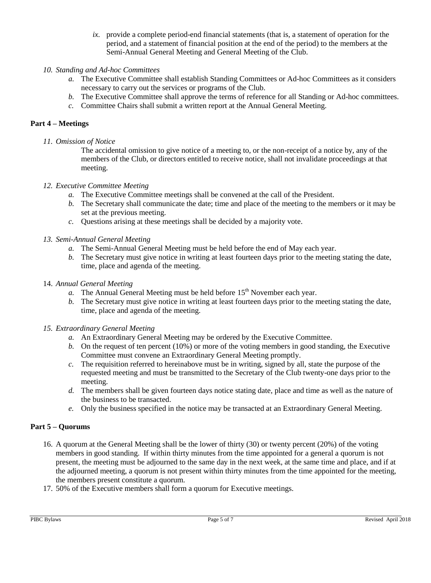*ix.* provide a complete period-end financial statements (that is, a statement of operation for the period, and a statement of financial position at the end of the period) to the members at the Semi-Annual General Meeting and General Meeting of the Club.

## *10. Standing and Ad-hoc Committees*

- *a.* The Executive Committee shall establish Standing Committees or Ad-hoc Committees as it considers necessary to carry out the services or programs of the Club.
- *b.* The Executive Committee shall approve the terms of reference for all Standing or Ad-hoc committees.
- *c.* Committee Chairs shall submit a written report at the Annual General Meeting.

## **Part 4 – Meetings**

*11. Omission of Notice*

The accidental omission to give notice of a meeting to, or the non-receipt of a notice by, any of the members of the Club, or directors entitled to receive notice, shall not invalidate proceedings at that meeting.

### *12. Executive Committee Meeting*

- *a.* The Executive Committee meetings shall be convened at the call of the President.
- *b.* The Secretary shall communicate the date; time and place of the meeting to the members or it may be set at the previous meeting.
- *c.* Questions arising at these meetings shall be decided by a majority vote.

### *13. Semi-Annual General Meeting*

- *a.* The Semi-Annual General Meeting must be held before the end of May each year.
- *b.* The Secretary must give notice in writing at least fourteen days prior to the meeting stating the date, time, place and agenda of the meeting.

#### 14. *Annual General Meeting*

- *a.* The Annual General Meeting must be held before 15<sup>th</sup> November each year.
- *b.* The Secretary must give notice in writing at least fourteen days prior to the meeting stating the date, time, place and agenda of the meeting.
- *15. Extraordinary General Meeting*
	- *a.* An Extraordinary General Meeting may be ordered by the Executive Committee.
	- *b.* On the request of ten percent (10%) or more of the voting members in good standing, the Executive Committee must convene an Extraordinary General Meeting promptly.
	- *c.* The requisition referred to hereinabove must be in writing, signed by all, state the purpose of the requested meeting and must be transmitted to the Secretary of the Club twenty-one days prior to the meeting.
	- *d.* The members shall be given fourteen days notice stating date, place and time as well as the nature of the business to be transacted.
	- *e.* Only the business specified in the notice may be transacted at an Extraordinary General Meeting.

### **Part 5 – Quorums**

- 16. A quorum at the General Meeting shall be the lower of thirty (30) or twenty percent (20%) of the voting members in good standing. If within thirty minutes from the time appointed for a general a quorum is not present, the meeting must be adjourned to the same day in the next week, at the same time and place, and if at the adjourned meeting, a quorum is not present within thirty minutes from the time appointed for the meeting, the members present constitute a quorum.
- 17. 50% of the Executive members shall form a quorum for Executive meetings.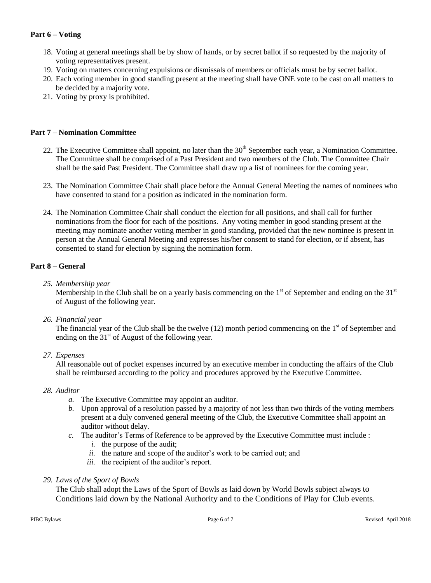# **Part 6 – Voting**

- 18. Voting at general meetings shall be by show of hands, or by secret ballot if so requested by the majority of voting representatives present.
- 19. Voting on matters concerning expulsions or dismissals of members or officials must be by secret ballot.
- 20. Each voting member in good standing present at the meeting shall have ONE vote to be cast on all matters to be decided by a majority vote.
- 21. Voting by proxy is prohibited.

### **Part 7 – Nomination Committee**

- 22. The Executive Committee shall appoint, no later than the  $30<sup>th</sup>$  September each year, a Nomination Committee. The Committee shall be comprised of a Past President and two members of the Club. The Committee Chair shall be the said Past President. The Committee shall draw up a list of nominees for the coming year.
- 23. The Nomination Committee Chair shall place before the Annual General Meeting the names of nominees who have consented to stand for a position as indicated in the nomination form.
- 24. The Nomination Committee Chair shall conduct the election for all positions, and shall call for further nominations from the floor for each of the positions. Any voting member in good standing present at the meeting may nominate another voting member in good standing, provided that the new nominee is present in person at the Annual General Meeting and expresses his/her consent to stand for election, or if absent, has consented to stand for election by signing the nomination form.

### **Part 8 – General**

*25. Membership year*

Membership in the Club shall be on a yearly basis commencing on the  $1<sup>st</sup>$  of September and ending on the  $31<sup>st</sup>$ of August of the following year.

*26. Financial year*

The financial year of the Club shall be the twelve  $(12)$  month period commencing on the  $1<sup>st</sup>$  of September and ending on the  $31<sup>st</sup>$  of August of the following year.

### *27. Expenses*

All reasonable out of pocket expenses incurred by an executive member in conducting the affairs of the Club shall be reimbursed according to the policy and procedures approved by the Executive Committee.

### *28. Auditor*

- *a.* The Executive Committee may appoint an auditor.
- *b.* Upon approval of a resolution passed by a majority of not less than two thirds of the voting members present at a duly convened general meeting of the Club, the Executive Committee shall appoint an auditor without delay.
- *c.* The auditor's Terms of Reference to be approved by the Executive Committee must include :
	- *i.* the purpose of the audit;
	- *ii.* the nature and scope of the auditor's work to be carried out; and
	- *iii.* the recipient of the auditor's report.

### *29. Laws of the Sport of Bowls*

The Club shall adopt the Laws of the Sport of Bowls as laid down by World Bowls subject always to Conditions laid down by the National Authority and to the Conditions of Play for Club events.